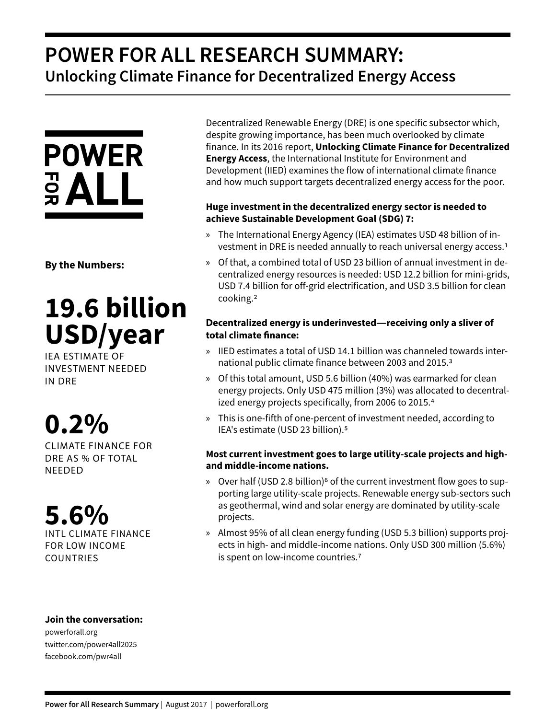## **POWER FOR ALL RESEARCH SUMMARY: Unlocking Climate Finance for Decentralized Energy Access**



**By the Numbers:**

# **19.6 billion USD/year**

IEA ESTIMATE OF INVESTMENT NEEDED IN DRE

# **0.2%**

CLIMATE FINANCE FOR DRE AS % OF TOTAL NEEDED

### **5.6%**  INTL CLIMATE FINANCE

FOR LOW INCOME COUNTRIES

#### Decentralized Renewable Energy (DRE) is one specific subsector which, despite growing importance, has been much overlooked by climate finance. In its 2016 report, **Unlocking Climate Finance for Decentralized Energy Access**, the International Institute for Environment and Development (IIED) examines the flow of international climate finance and how much support targets decentralized energy access for the poor.

#### **Huge investment in the decentralized energy sector is needed to achieve Sustainable Development Goal (SDG) 7:**

- » The International Energy Agency (IEA) estimates USD 48 billion of investment in DRE is needed annually to reach universal energy access.1
- » Of that, a combined total of USD 23 billion of annual investment in decentralized energy resources is needed: USD 12.2 billion for mini-grids, USD 7.4 billion for off-grid electrification, and USD 3.5 billion for clean cooking.2

#### **Decentralized energy is underinvested—receiving only a sliver of total climate finance:**

- » IIED estimates a total of USD 14.1 billion was channeled towards international public climate finance between 2003 and 2015.3
- » Of this total amount, USD 5.6 billion (40%) was earmarked for clean energy projects. Only USD 475 million (3%) was allocated to decentralized energy projects specifically, from 2006 to 2015.4
- » This is one-fifth of one-percent of investment needed, according to IEA's estimate (USD 23 billion).5

#### **Most current investment goes to large utility-scale projects and highand middle-income nations.**

- » Over half (USD 2.8 billion)<sup>6</sup> of the current investment flow goes to supporting large utility-scale projects. Renewable energy sub-sectors such as geothermal, wind and solar energy are dominated by utility-scale projects.
- » Almost 95% of all clean energy funding (USD 5.3 billion) supports projects in high- and middle-income nations. Only USD 300 million (5.6%) is spent on low-income countries.<sup>7</sup>

#### **Join the conversation:**

powerforall.org twitter.com/power4all2025 facebook.com/pwr4all